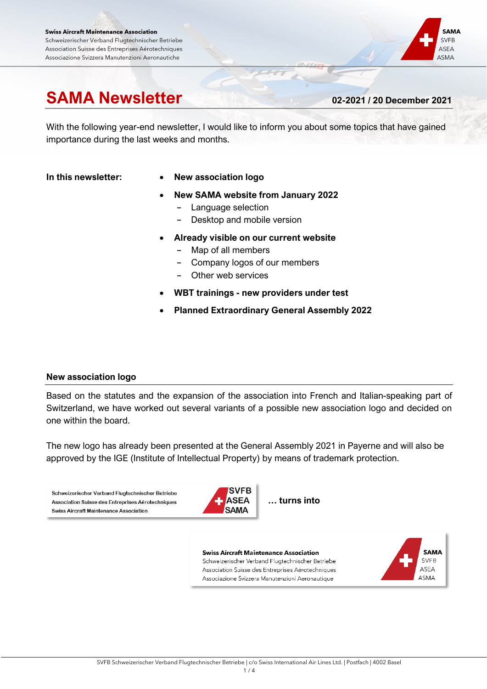#### **Swiss Aircraft Maintenance Association** Schweizerischer Verband Flugtechnischer Betriebe Association Suisse des Entreprises Aérotechniques Associazione Svizzera Manutenzioni Aeronautiche

# **SAMA Newsletter 02-2021 / 20 December <sup>2021</sup>**

**SAMA** 

**SVFB** 

ASEA

ASMA

With the following year-end newsletter, I would like to inform you about some topics that have gained importance during the last weeks and months.

- **In this newsletter: New association logo**
	- **New SAMA website from January 2022**
		- **-** Language selection
		- **-** Desktop and mobile version
	- **Already visible on our current website**
		- **-** Map of all members
		- **-** Company logos of our members
		- **-** Other web services
	- **WBT trainings - new providers under test**
	- **Planned Extraordinary General Assembly 2022**

# **New association logo**

Based on the statutes and the expansion of the association into French and Italian-speaking part of Switzerland, we have worked out several variants of a possible new association logo and decided on one within the board.

The new logo has already been presented at the General Assembly 2021 in Payerne and will also be approved by the IGE (Institute of Intellectual Property) by means of trademark protection.

Schweizerischer Verband Flugtechnischer Betriebe Association Suisse des Entreprises Aérotechniques **Swiss Aircraft Maintenance Association** 



**… turns into**

**Swiss Aircraft Maintenance Association** Schweizerischer Verband Flugtechnischer Betriebe Association Suisse des Entreprises Aérotechniques Associazione Svizzera Manutenzioni Aeronautique

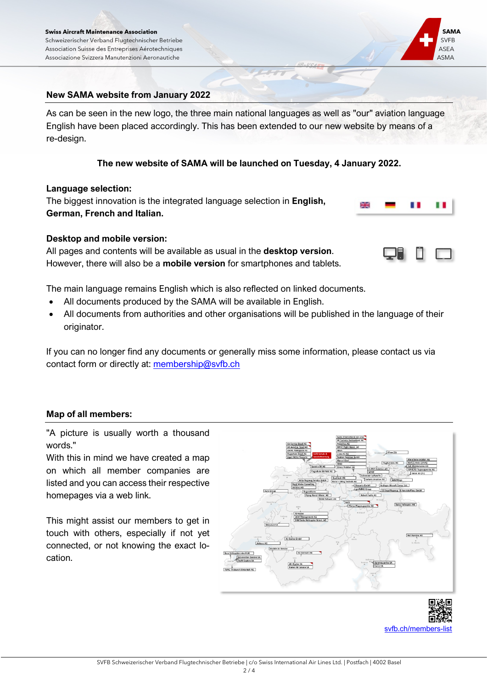

# **New SAMA website from January 2022**

As can be seen in the new logo, the three main national languages as well as "our" aviation language English have been placed accordingly. This has been extended to our new website by means of a re-design.

#### **The new website of SAMA will be launched on Tuesday, 4 January 2022.**

#### **Language selection:**

The biggest innovation is the integrated language selection in **English, German, French and Italian.**

# **Desktop and mobile version:**

All pages and contents will be available as usual in the **desktop version**. However, there will also be a **mobile version** for smartphones and tablets.



The main language remains English which is also reflected on linked documents.

- All documents produced by the SAMA will be available in English.
- All documents from authorities and other organisations will be published in the language of their originator.

If you can no longer find any documents or generally miss some information, please contact us via contact form or directly at: [membership@svfb.ch](mailto:membership@svfb.ch)

#### **Map of all members:**

"A picture is usually worth a thousand words."

With this in mind we have created a map on which all member companies are listed and you can access their respective homepages via a web link.

This might assist our members to get in touch with others, especially if not yet connected, or not knowing the exact location.



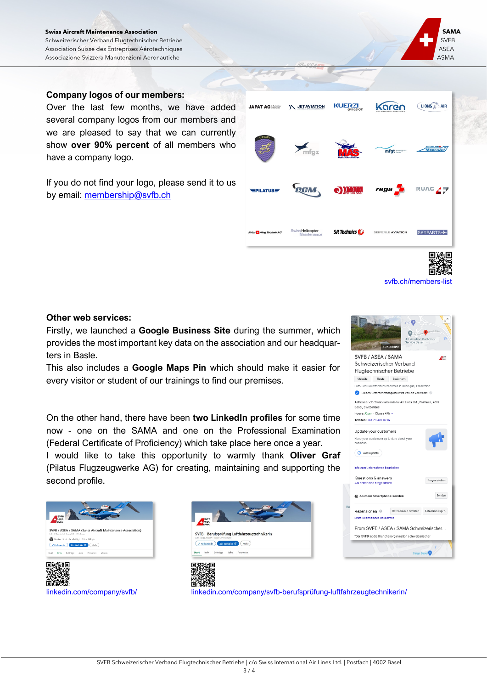#### **Swiss Aircraft Maintenance Association** Schweizerischer Verband Flugtechnischer Betriebe Association Suisse des Entreprises Aérotechniques Associazione Svizzera Manutenzioni Aeronautiche

#### **Company logos of our members:**

Over the last few months, we have added several company logos from our members and we are pleased to say that we can currently show **over 90% percent** of all members who have a company logo.

If you do not find your logo, please send it to us by email: [membership@svfb.ch](mailto:membership@svfb.ch)

# **Other web services:**

Firstly, we launched a **Google Business Site** during the summer, which provides the most important key data on the association and our headquarters in Basle.

This also includes a **Google Maps Pin** which should make it easier for every visitor or student of our trainings to find our premises.

On the other hand, there have been **two LinkedIn profiles** for some time now - one on the SAMA and one on the Professional Examination (Federal Certificate of Proficiency) which take place here once a year. I would like to take this opportunity to warmly thank **Oliver Graf** (Pilatus Flugzeugwerke AG) for creating, maintaining and supporting the second profile.





**JAPAT AG African** 

 $=$ PILATUS $=$ 

SwissHelicopter

[linkedin.com/company/svfb/](http://www.linkedin.com/company/svfb/) [linkedin.com/company/svfb-berufsprüfung-luftfahrzeugtechnikerin/](http://www.linkedin.com/company/svfb-berufspr%C3%BCfung-luftfahrzeugtechnikerin/)



svfb.ch/members

SKYPARTS+



SEIFERLE AVIATION

 $\boldsymbol{m}$ 

**SR** Technics